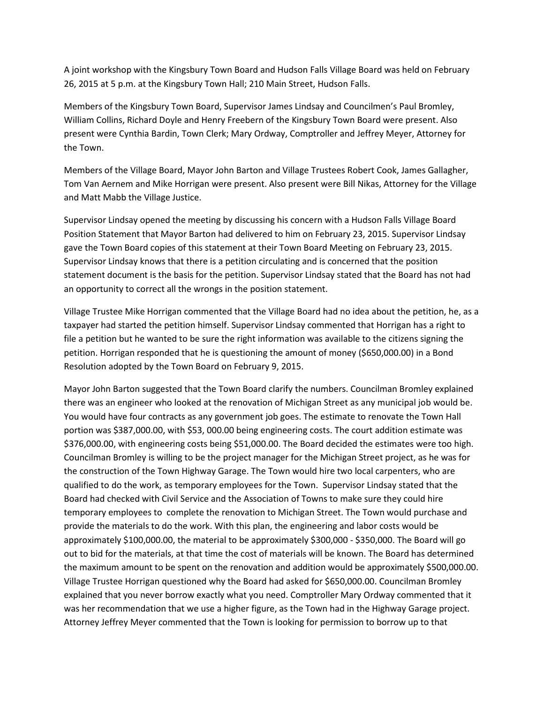A joint workshop with the Kingsbury Town Board and Hudson Falls Village Board was held on February 26, 2015 at 5 p.m. at the Kingsbury Town Hall; 210 Main Street, Hudson Falls.

Members of the Kingsbury Town Board, Supervisor James Lindsay and Councilmen's Paul Bromley, William Collins, Richard Doyle and Henry Freebern of the Kingsbury Town Board were present. Also present were Cynthia Bardin, Town Clerk; Mary Ordway, Comptroller and Jeffrey Meyer, Attorney for the Town.

Members of the Village Board, Mayor John Barton and Village Trustees Robert Cook, James Gallagher, Tom Van Aernem and Mike Horrigan were present. Also present were Bill Nikas, Attorney for the Village and Matt Mabb the Village Justice.

Supervisor Lindsay opened the meeting by discussing his concern with a Hudson Falls Village Board Position Statement that Mayor Barton had delivered to him on February 23, 2015. Supervisor Lindsay gave the Town Board copies of this statement at their Town Board Meeting on February 23, 2015. Supervisor Lindsay knows that there is a petition circulating and is concerned that the position statement document is the basis for the petition. Supervisor Lindsay stated that the Board has not had an opportunity to correct all the wrongs in the position statement.

Village Trustee Mike Horrigan commented that the Village Board had no idea about the petition, he, as a taxpayer had started the petition himself. Supervisor Lindsay commented that Horrigan has a right to file a petition but he wanted to be sure the right information was available to the citizens signing the petition. Horrigan responded that he is questioning the amount of money (\$650,000.00) in a Bond Resolution adopted by the Town Board on February 9, 2015.

Mayor John Barton suggested that the Town Board clarify the numbers. Councilman Bromley explained there was an engineer who looked at the renovation of Michigan Street as any municipal job would be. You would have four contracts as any government job goes. The estimate to renovate the Town Hall portion was \$387,000.00, with \$53, 000.00 being engineering costs. The court addition estimate was \$376,000.00, with engineering costs being \$51,000.00. The Board decided the estimates were too high. Councilman Bromley is willing to be the project manager for the Michigan Street project, as he was for the construction of the Town Highway Garage. The Town would hire two local carpenters, who are qualified to do the work, as temporary employees for the Town. Supervisor Lindsay stated that the Board had checked with Civil Service and the Association of Towns to make sure they could hire temporary employees to complete the renovation to Michigan Street. The Town would purchase and provide the materials to do the work. With this plan, the engineering and labor costs would be approximately \$100,000.00, the material to be approximately \$300,000 - \$350,000. The Board will go out to bid for the materials, at that time the cost of materials will be known. The Board has determined the maximum amount to be spent on the renovation and addition would be approximately \$500,000.00. Village Trustee Horrigan questioned why the Board had asked for \$650,000.00. Councilman Bromley explained that you never borrow exactly what you need. Comptroller Mary Ordway commented that it was her recommendation that we use a higher figure, as the Town had in the Highway Garage project. Attorney Jeffrey Meyer commented that the Town is looking for permission to borrow up to that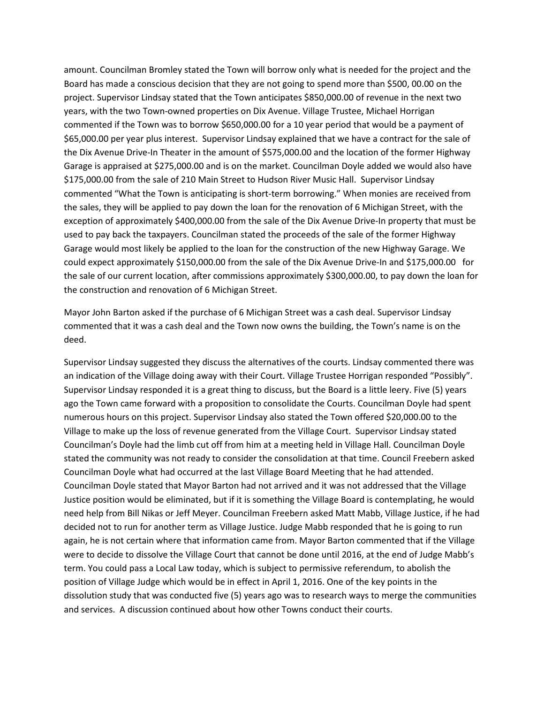amount. Councilman Bromley stated the Town will borrow only what is needed for the project and the Board has made a conscious decision that they are not going to spend more than \$500, 00.00 on the project. Supervisor Lindsay stated that the Town anticipates \$850,000.00 of revenue in the next two years, with the two Town-owned properties on Dix Avenue. Village Trustee, Michael Horrigan commented if the Town was to borrow \$650,000.00 for a 10 year period that would be a payment of \$65,000.00 per year plus interest. Supervisor Lindsay explained that we have a contract for the sale of the Dix Avenue Drive-In Theater in the amount of \$575,000.00 and the location of the former Highway Garage is appraised at \$275,000.00 and is on the market. Councilman Doyle added we would also have \$175,000.00 from the sale of 210 Main Street to Hudson River Music Hall. Supervisor Lindsay commented "What the Town is anticipating is short-term borrowing." When monies are received from the sales, they will be applied to pay down the loan for the renovation of 6 Michigan Street, with the exception of approximately \$400,000.00 from the sale of the Dix Avenue Drive-In property that must be used to pay back the taxpayers. Councilman stated the proceeds of the sale of the former Highway Garage would most likely be applied to the loan for the construction of the new Highway Garage. We could expect approximately \$150,000.00 from the sale of the Dix Avenue Drive-In and \$175,000.00 for the sale of our current location, after commissions approximately \$300,000.00, to pay down the loan for the construction and renovation of 6 Michigan Street.

Mayor John Barton asked if the purchase of 6 Michigan Street was a cash deal. Supervisor Lindsay commented that it was a cash deal and the Town now owns the building, the Town's name is on the deed.

Supervisor Lindsay suggested they discuss the alternatives of the courts. Lindsay commented there was an indication of the Village doing away with their Court. Village Trustee Horrigan responded "Possibly". Supervisor Lindsay responded it is a great thing to discuss, but the Board is a little leery. Five (5) years ago the Town came forward with a proposition to consolidate the Courts. Councilman Doyle had spent numerous hours on this project. Supervisor Lindsay also stated the Town offered \$20,000.00 to the Village to make up the loss of revenue generated from the Village Court. Supervisor Lindsay stated Councilman's Doyle had the limb cut off from him at a meeting held in Village Hall. Councilman Doyle stated the community was not ready to consider the consolidation at that time. Council Freebern asked Councilman Doyle what had occurred at the last Village Board Meeting that he had attended. Councilman Doyle stated that Mayor Barton had not arrived and it was not addressed that the Village Justice position would be eliminated, but if it is something the Village Board is contemplating, he would need help from Bill Nikas or Jeff Meyer. Councilman Freebern asked Matt Mabb, Village Justice, if he had decided not to run for another term as Village Justice. Judge Mabb responded that he is going to run again, he is not certain where that information came from. Mayor Barton commented that if the Village were to decide to dissolve the Village Court that cannot be done until 2016, at the end of Judge Mabb's term. You could pass a Local Law today, which is subject to permissive referendum, to abolish the position of Village Judge which would be in effect in April 1, 2016. One of the key points in the dissolution study that was conducted five (5) years ago was to research ways to merge the communities and services. A discussion continued about how other Towns conduct their courts.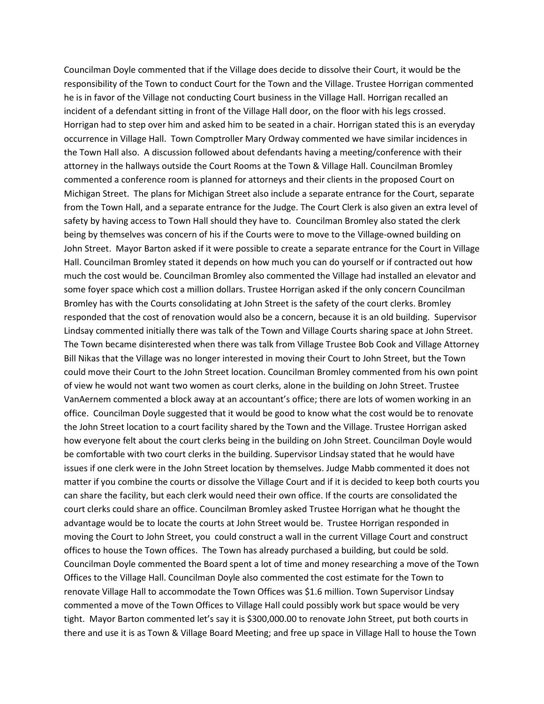Councilman Doyle commented that if the Village does decide to dissolve their Court, it would be the responsibility of the Town to conduct Court for the Town and the Village. Trustee Horrigan commented he is in favor of the Village not conducting Court business in the Village Hall. Horrigan recalled an incident of a defendant sitting in front of the Village Hall door, on the floor with his legs crossed. Horrigan had to step over him and asked him to be seated in a chair. Horrigan stated this is an everyday occurrence in Village Hall. Town Comptroller Mary Ordway commented we have similar incidences in the Town Hall also. A discussion followed about defendants having a meeting/conference with their attorney in the hallways outside the Court Rooms at the Town & Village Hall. Councilman Bromley commented a conference room is planned for attorneys and their clients in the proposed Court on Michigan Street. The plans for Michigan Street also include a separate entrance for the Court, separate from the Town Hall, and a separate entrance for the Judge. The Court Clerk is also given an extra level of safety by having access to Town Hall should they have to. Councilman Bromley also stated the clerk being by themselves was concern of his if the Courts were to move to the Village-owned building on John Street. Mayor Barton asked if it were possible to create a separate entrance for the Court in Village Hall. Councilman Bromley stated it depends on how much you can do yourself or if contracted out how much the cost would be. Councilman Bromley also commented the Village had installed an elevator and some foyer space which cost a million dollars. Trustee Horrigan asked if the only concern Councilman Bromley has with the Courts consolidating at John Street is the safety of the court clerks. Bromley responded that the cost of renovation would also be a concern, because it is an old building. Supervisor Lindsay commented initially there was talk of the Town and Village Courts sharing space at John Street. The Town became disinterested when there was talk from Village Trustee Bob Cook and Village Attorney Bill Nikas that the Village was no longer interested in moving their Court to John Street, but the Town could move their Court to the John Street location. Councilman Bromley commented from his own point of view he would not want two women as court clerks, alone in the building on John Street. Trustee VanAernem commented a block away at an accountant's office; there are lots of women working in an office. Councilman Doyle suggested that it would be good to know what the cost would be to renovate the John Street location to a court facility shared by the Town and the Village. Trustee Horrigan asked how everyone felt about the court clerks being in the building on John Street. Councilman Doyle would be comfortable with two court clerks in the building. Supervisor Lindsay stated that he would have issues if one clerk were in the John Street location by themselves. Judge Mabb commented it does not matter if you combine the courts or dissolve the Village Court and if it is decided to keep both courts you can share the facility, but each clerk would need their own office. If the courts are consolidated the court clerks could share an office. Councilman Bromley asked Trustee Horrigan what he thought the advantage would be to locate the courts at John Street would be. Trustee Horrigan responded in moving the Court to John Street, you could construct a wall in the current Village Court and construct offices to house the Town offices. The Town has already purchased a building, but could be sold. Councilman Doyle commented the Board spent a lot of time and money researching a move of the Town Offices to the Village Hall. Councilman Doyle also commented the cost estimate for the Town to renovate Village Hall to accommodate the Town Offices was \$1.6 million. Town Supervisor Lindsay commented a move of the Town Offices to Village Hall could possibly work but space would be very tight. Mayor Barton commented let's say it is \$300,000.00 to renovate John Street, put both courts in there and use it is as Town & Village Board Meeting; and free up space in Village Hall to house the Town